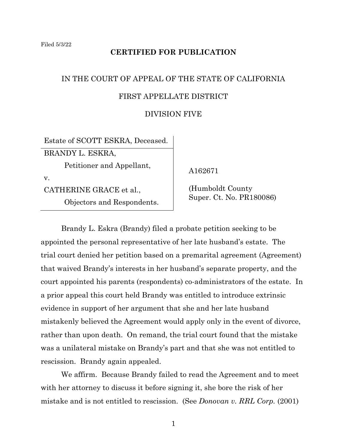#### **CERTIFIED FOR PUBLICATION**

# IN THE COURT OF APPEAL OF THE STATE OF CALIFORNIA FIRST APPELLATE DISTRICT

#### DIVISION FIVE

Estate of SCOTT ESKRA, Deceased.

BRANDY L. ESKRA,

Petitioner and Appellant,

v.

CATHERINE GRACE et al.,

Objectors and Respondents.

A162671

 (Humboldt County Super. Ct. No. PR180086)

Brandy L. Eskra (Brandy) filed a probate petition seeking to be appointed the personal representative of her late husband's estate. The trial court denied her petition based on a premarital agreement (Agreement) that waived Brandy's interests in her husband's separate property, and the court appointed his parents (respondents) co-administrators of the estate. In a prior appeal this court held Brandy was entitled to introduce extrinsic evidence in support of her argument that she and her late husband mistakenly believed the Agreement would apply only in the event of divorce, rather than upon death. On remand, the trial court found that the mistake was a unilateral mistake on Brandy's part and that she was not entitled to rescission. Brandy again appealed.

We affirm. Because Brandy failed to read the Agreement and to meet with her attorney to discuss it before signing it, she bore the risk of her mistake and is not entitled to rescission. (See *Donovan v. RRL Corp.* (2001)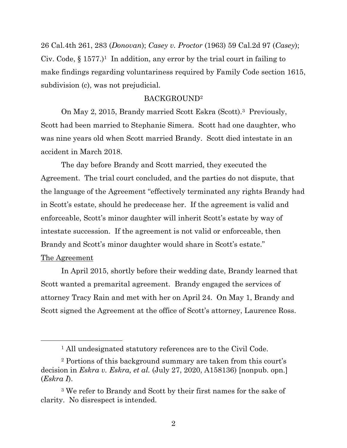26 Cal.4th 261, 283 (*Donovan*); *Casey v. Proctor* (1963) 59 Cal.2d 97 (*Casey*); Civ. Code,  $\S 1577$ .)<sup>1</sup> In addition, any error by the trial court in failing to make findings regarding voluntariness required by Family Code section 1615, subdivision (c), was not prejudicial.

#### BACKGROUND<sup>2</sup>

On May 2, 2015, Brandy married Scott Eskra (Scott).3 Previously, Scott had been married to Stephanie Simera. Scott had one daughter, who was nine years old when Scott married Brandy. Scott died intestate in an accident in March 2018.

The day before Brandy and Scott married, they executed the Agreement. The trial court concluded, and the parties do not dispute, that the language of the Agreement "effectively terminated any rights Brandy had in Scott's estate, should he predecease her. If the agreement is valid and enforceable, Scott's minor daughter will inherit Scott's estate by way of intestate succession. If the agreement is not valid or enforceable, then Brandy and Scott's minor daughter would share in Scott's estate."

#### The Agreement

In April 2015, shortly before their wedding date, Brandy learned that Scott wanted a premarital agreement. Brandy engaged the services of attorney Tracy Rain and met with her on April 24. On May 1, Brandy and Scott signed the Agreement at the office of Scott's attorney, Laurence Ross.

<sup>&</sup>lt;sup>1</sup> All undesignated statutory references are to the Civil Code.

<sup>2</sup> Portions of this background summary are taken from this court's decision in *Eskra v. Eskra, et al.* (July 27, 2020, A158136) [nonpub. opn.] (*Eskra I*).

<sup>3</sup> We refer to Brandy and Scott by their first names for the sake of clarity. No disrespect is intended.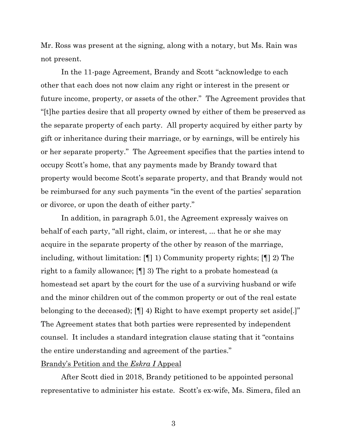Mr. Ross was present at the signing, along with a notary, but Ms. Rain was not present.

In the 11-page Agreement, Brandy and Scott "acknowledge to each other that each does not now claim any right or interest in the present or future income, property, or assets of the other." The Agreement provides that "[t]he parties desire that all property owned by either of them be preserved as the separate property of each party. All property acquired by either party by gift or inheritance during their marriage, or by earnings, will be entirely his or her separate property." The Agreement specifies that the parties intend to occupy Scott's home, that any payments made by Brandy toward that property would become Scott's separate property, and that Brandy would not be reimbursed for any such payments "in the event of the parties' separation or divorce, or upon the death of either party."

In addition, in paragraph 5.01, the Agreement expressly waives on behalf of each party, "all right, claim, or interest, ... that he or she may acquire in the separate property of the other by reason of the marriage, including, without limitation: [¶] 1) Community property rights; [¶] 2) The right to a family allowance; [¶] 3) The right to a probate homestead (a homestead set apart by the court for the use of a surviving husband or wife and the minor children out of the common property or out of the real estate belonging to the deceased); [¶] 4) Right to have exempt property set aside[.]" The Agreement states that both parties were represented by independent counsel. It includes a standard integration clause stating that it "contains the entire understanding and agreement of the parties."

#### Brandy's Petition and the *Eskra I* Appeal

After Scott died in 2018, Brandy petitioned to be appointed personal representative to administer his estate. Scott's ex-wife, Ms. Simera, filed an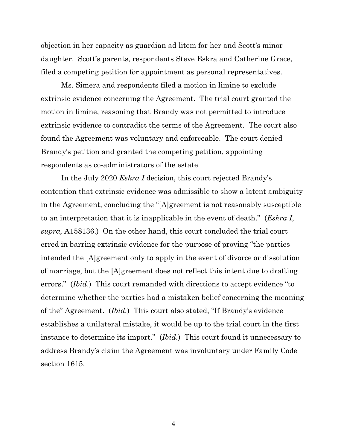objection in her capacity as guardian ad litem for her and Scott's minor daughter. Scott's parents, respondents Steve Eskra and Catherine Grace, filed a competing petition for appointment as personal representatives.

Ms. Simera and respondents filed a motion in limine to exclude extrinsic evidence concerning the Agreement. The trial court granted the motion in limine, reasoning that Brandy was not permitted to introduce extrinsic evidence to contradict the terms of the Agreement. The court also found the Agreement was voluntary and enforceable. The court denied Brandy's petition and granted the competing petition, appointing respondents as co-administrators of the estate.

In the July 2020 *Eskra I* decision, this court rejected Brandy's contention that extrinsic evidence was admissible to show a latent ambiguity in the Agreement, concluding the "[A]greement is not reasonably susceptible to an interpretation that it is inapplicable in the event of death." (*Eskra I*, *supra,* A158136.) On the other hand, this court concluded the trial court erred in barring extrinsic evidence for the purpose of proving "the parties intended the [A]greement only to apply in the event of divorce or dissolution of marriage, but the [A]greement does not reflect this intent due to drafting errors." (*Ibid*.) This court remanded with directions to accept evidence "to determine whether the parties had a mistaken belief concerning the meaning of the" Agreement. (*Ibid.*) This court also stated, "If Brandy's evidence establishes a unilateral mistake, it would be up to the trial court in the first instance to determine its import." (*Ibid.*) This court found it unnecessary to address Brandy's claim the Agreement was involuntary under Family Code section 1615.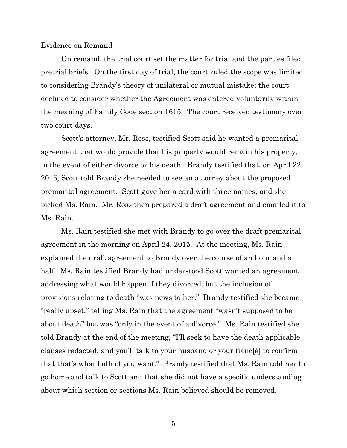#### Evidence on Remand

On remand, the trial court set the matter for trial and the parties filed pretrial briefs. On the first day of trial, the court ruled the scope was limited to considering Brandy's theory of unilateral or mutual mistake; the court declined to consider whether the Agreement was entered voluntarily within the meaning of Family Code section 1615. The court received testimony over two court days.

Scott's attorney, Mr. Ross, testified Scott said he wanted a premarital agreement that would provide that his property would remain his property, in the event of either divorce or his death. Brandy testified that, on April 22, 2015, Scott told Brandy she needed to see an attorney about the proposed premarital agreement. Scott gave her a card with three names, and she picked Ms. Rain. Mr. Ross then prepared a draft agreement and emailed it to Ms. Rain.

Ms. Rain testified she met with Brandy to go over the draft premarital agreement in the morning on April 24, 2015. At the meeting, Ms. Rain explained the draft agreement to Brandy over the course of an hour and a half. Ms. Rain testified Brandy had understood Scott wanted an agreement addressing what would happen if they divorced, but the inclusion of provisions relating to death "was news to her." Brandy testified she became "really upset," telling Ms. Rain that the agreement "wasn't supposed to be about death" but was "only in the event of a divorce." Ms. Rain testified she told Brandy at the end of the meeting, "I'll seek to have the death applicable clauses redacted, and you'll talk to your husband or your fianc[é] to confirm that that's what both of you want." Brandy testified that Ms. Rain told her to go home and talk to Scott and that she did not have a specific understanding about which section or sections Ms. Rain believed should be removed.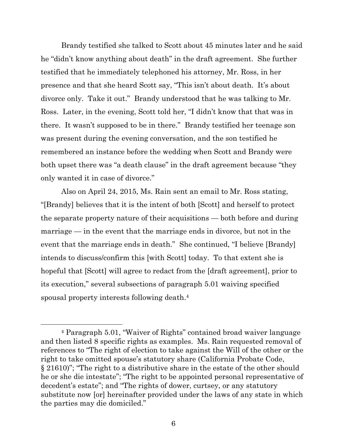Brandy testified she talked to Scott about 45 minutes later and he said he "didn't know anything about death" in the draft agreement. She further testified that he immediately telephoned his attorney, Mr. Ross, in her presence and that she heard Scott say, "This isn't about death. It's about divorce only. Take it out." Brandy understood that he was talking to Mr. Ross. Later, in the evening, Scott told her, "I didn't know that that was in there. It wasn't supposed to be in there." Brandy testified her teenage son was present during the evening conversation, and the son testified he remembered an instance before the wedding when Scott and Brandy were both upset there was "a death clause" in the draft agreement because "they only wanted it in case of divorce."

Also on April 24, 2015, Ms. Rain sent an email to Mr. Ross stating, "[Brandy] believes that it is the intent of both [Scott] and herself to protect the separate property nature of their acquisitions — both before and during marriage — in the event that the marriage ends in divorce, but not in the event that the marriage ends in death." She continued, "I believe [Brandy] intends to discuss/confirm this [with Scott] today. To that extent she is hopeful that [Scott] will agree to redact from the [draft agreement], prior to its execution," several subsections of paragraph 5.01 waiving specified spousal property interests following death. 4

<sup>4</sup> Paragraph 5.01, "Waiver of Rights" contained broad waiver language and then listed 8 specific rights as examples. Ms. Rain requested removal of references to "The right of election to take against the Will of the other or the right to take omitted spouse's statutory share (California Probate Code, § 21610)"; "The right to a distributive share in the estate of the other should he or she die intestate"; "The right to be appointed personal representative of decedent's estate"; and "The rights of dower, curtsey, or any statutory substitute now [or] hereinafter provided under the laws of any state in which the parties may die domiciled."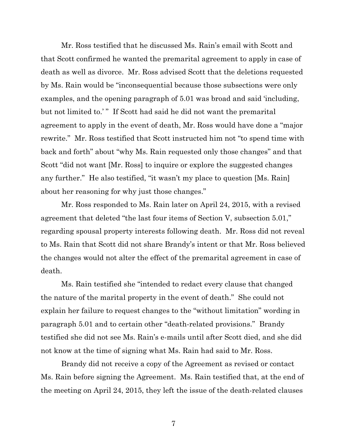Mr. Ross testified that he discussed Ms. Rain's email with Scott and that Scott confirmed he wanted the premarital agreement to apply in case of death as well as divorce. Mr. Ross advised Scott that the deletions requested by Ms. Rain would be "inconsequential because those subsections were only examples, and the opening paragraph of 5.01 was broad and said 'including, but not limited to.'" If Scott had said he did not want the premarital agreement to apply in the event of death, Mr. Ross would have done a "major rewrite." Mr. Ross testified that Scott instructed him not "to spend time with back and forth" about "why Ms. Rain requested only those changes" and that Scott "did not want [Mr. Ross] to inquire or explore the suggested changes any further." He also testified, "it wasn't my place to question [Ms. Rain] about her reasoning for why just those changes."

Mr. Ross responded to Ms. Rain later on April 24, 2015, with a revised agreement that deleted "the last four items of Section V, subsection 5.01," regarding spousal property interests following death. Mr. Ross did not reveal to Ms. Rain that Scott did not share Brandy's intent or that Mr. Ross believed the changes would not alter the effect of the premarital agreement in case of death.

Ms. Rain testified she "intended to redact every clause that changed the nature of the marital property in the event of death." She could not explain her failure to request changes to the "without limitation" wording in paragraph 5.01 and to certain other "death-related provisions." Brandy testified she did not see Ms. Rain's e-mails until after Scott died, and she did not know at the time of signing what Ms. Rain had said to Mr. Ross.

Brandy did not receive a copy of the Agreement as revised or contact Ms. Rain before signing the Agreement. Ms. Rain testified that, at the end of the meeting on April 24, 2015, they left the issue of the death-related clauses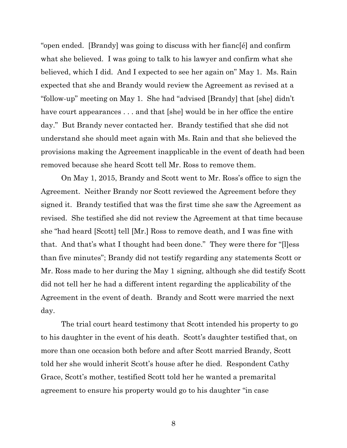"open ended. [Brandy] was going to discuss with her fianc[é] and confirm what she believed. I was going to talk to his lawyer and confirm what she believed, which I did. And I expected to see her again on" May 1. Ms. Rain expected that she and Brandy would review the Agreement as revised at a "follow-up" meeting on May 1. She had "advised [Brandy] that [she] didn't have court appearances . . . and that [she] would be in her office the entire day." But Brandy never contacted her. Brandy testified that she did not understand she should meet again with Ms. Rain and that she believed the provisions making the Agreement inapplicable in the event of death had been removed because she heard Scott tell Mr. Ross to remove them.

On May 1, 2015, Brandy and Scott went to Mr. Ross's office to sign the Agreement. Neither Brandy nor Scott reviewed the Agreement before they signed it. Brandy testified that was the first time she saw the Agreement as revised. She testified she did not review the Agreement at that time because she "had heard [Scott] tell [Mr.] Ross to remove death, and I was fine with that. And that's what I thought had been done." They were there for "[l]ess than five minutes"; Brandy did not testify regarding any statements Scott or Mr. Ross made to her during the May 1 signing, although she did testify Scott did not tell her he had a different intent regarding the applicability of the Agreement in the event of death. Brandy and Scott were married the next day.

The trial court heard testimony that Scott intended his property to go to his daughter in the event of his death. Scott's daughter testified that, on more than one occasion both before and after Scott married Brandy, Scott told her she would inherit Scott's house after he died. Respondent Cathy Grace, Scott's mother, testified Scott told her he wanted a premarital agreement to ensure his property would go to his daughter "in case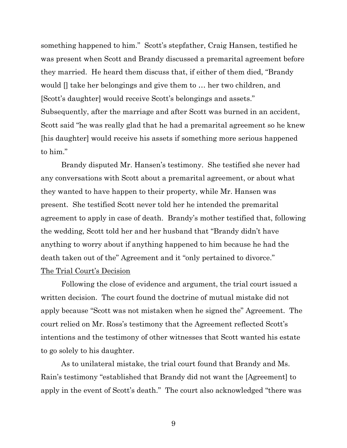something happened to him." Scott's stepfather, Craig Hansen, testified he was present when Scott and Brandy discussed a premarital agreement before they married. He heard them discuss that, if either of them died, "Brandy would [] take her belongings and give them to … her two children, and [Scott's daughter] would receive Scott's belongings and assets." Subsequently, after the marriage and after Scott was burned in an accident, Scott said "he was really glad that he had a premarital agreement so he knew [his daughter] would receive his assets if something more serious happened to him."

Brandy disputed Mr. Hansen's testimony. She testified she never had any conversations with Scott about a premarital agreement, or about what they wanted to have happen to their property, while Mr. Hansen was present. She testified Scott never told her he intended the premarital agreement to apply in case of death. Brandy's mother testified that, following the wedding, Scott told her and her husband that "Brandy didn't have anything to worry about if anything happened to him because he had the death taken out of the" Agreement and it "only pertained to divorce." The Trial Court's Decision

Following the close of evidence and argument, the trial court issued a written decision. The court found the doctrine of mutual mistake did not apply because "Scott was not mistaken when he signed the" Agreement. The court relied on Mr. Ross's testimony that the Agreement reflected Scott's intentions and the testimony of other witnesses that Scott wanted his estate to go solely to his daughter.

As to unilateral mistake, the trial court found that Brandy and Ms. Rain's testimony "established that Brandy did not want the [Agreement] to apply in the event of Scott's death." The court also acknowledged "there was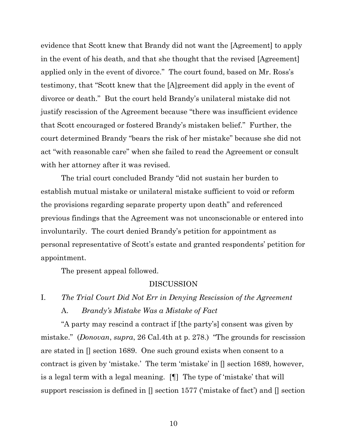evidence that Scott knew that Brandy did not want the [Agreement] to apply in the event of his death, and that she thought that the revised [Agreement] applied only in the event of divorce." The court found, based on Mr. Ross's testimony, that "Scott knew that the [A]greement did apply in the event of divorce or death." But the court held Brandy's unilateral mistake did not justify rescission of the Agreement because "there was insufficient evidence that Scott encouraged or fostered Brandy's mistaken belief." Further, the court determined Brandy "bears the risk of her mistake" because she did not act "with reasonable care" when she failed to read the Agreement or consult with her attorney after it was revised.

The trial court concluded Brandy "did not sustain her burden to establish mutual mistake or unilateral mistake sufficient to void or reform the provisions regarding separate property upon death" and referenced previous findings that the Agreement was not unconscionable or entered into involuntarily. The court denied Brandy's petition for appointment as personal representative of Scott's estate and granted respondents' petition for appointment.

The present appeal followed.

#### DISCUSSION

## I. *The Trial Court Did Not Err in Denying Rescission of the Agreement* A. *Brandy's Mistake Was a Mistake of Fact*

"A party may rescind a contract if [the party's] consent was given by mistake." (*Donovan*, *supra*, 26 Cal.4th at p. 278.) "The grounds for rescission are stated in [] section 1689. One such ground exists when consent to a contract is given by 'mistake.' The term 'mistake' in [] section 1689, however, is a legal term with a legal meaning. [¶] The type of 'mistake' that will support rescission is defined in [] section 1577 ('mistake of fact') and [] section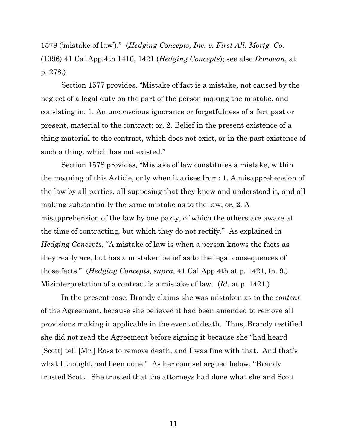1578 ('mistake of law')." (*Hedging Concepts, Inc. v. First All. Mortg. Co.* (1996) 41 Cal.App.4th 1410, 1421 (*Hedging Concepts*); see also *Donovan*, at p. 278.)

Section 1577 provides, "Mistake of fact is a mistake, not caused by the neglect of a legal duty on the part of the person making the mistake, and consisting in: 1. An unconscious ignorance or forgetfulness of a fact past or present, material to the contract; or, 2. Belief in the present existence of a thing material to the contract, which does not exist, or in the past existence of such a thing, which has not existed."

Section 1578 provides, "Mistake of law constitutes a mistake, within the meaning of this Article, only when it arises from: 1. A misapprehension of the law by all parties, all supposing that they knew and understood it, and all making substantially the same mistake as to the law; or, 2. A misapprehension of the law by one party, of which the others are aware at the time of contracting, but which they do not rectify." As explained in *Hedging Concepts*, "A mistake of law is when a person knows the facts as they really are, but has a mistaken belief as to the legal consequences of those facts." (*Hedging Concepts*, *supra*, 41 Cal.App.4th at p. 1421, fn. 9.) Misinterpretation of a contract is a mistake of law. (*Id.* at p. 1421*.*)

In the present case, Brandy claims she was mistaken as to the *content* of the Agreement, because she believed it had been amended to remove all provisions making it applicable in the event of death. Thus, Brandy testified she did not read the Agreement before signing it because she "had heard [Scott] tell [Mr.] Ross to remove death, and I was fine with that. And that's what I thought had been done." As her counsel argued below, "Brandy trusted Scott. She trusted that the attorneys had done what she and Scott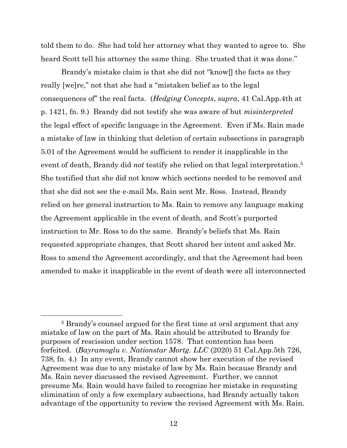told them to do. She had told her attorney what they wanted to agree to. She heard Scott tell his attorney the same thing. She trusted that it was done."

Brandy's mistake claim is that she did not "know[] the facts as they really [we]re," not that she had a "mistaken belief as to the legal consequences of" the real facts. (*Hedging Concepts*, *supra*, 41 Cal.App.4th at p. 1421, fn. 9.) Brandy did not testify she was aware of but *misinterpreted*  the legal effect of specific language in the Agreement. Even if Ms. Rain made a mistake of law in thinking that deletion of certain subsections in paragraph 5.01 of the Agreement would be sufficient to render it inapplicable in the event of death, Brandy did *not* testify she relied on that legal interpretation. 5 She testified that she did not know which sections needed to be removed and that she did not see the e-mail Ms. Rain sent Mr. Ross. Instead, Brandy relied on her general instruction to Ms. Rain to remove any language making the Agreement applicable in the event of death, and Scott's purported instruction to Mr. Ross to do the same. Brandy's beliefs that Ms. Rain requested appropriate changes, that Scott shared her intent and asked Mr. Ross to amend the Agreement accordingly, and that the Agreement had been amended to make it inapplicable in the event of death were all interconnected

<sup>5</sup> Brandy's counsel argued for the first time at oral argument that any mistake of law on the part of Ms. Rain should be attributed to Brandy for purposes of rescission under section 1578. That contention has been forfeited. (*Bayramoglu v. Nationstar Mortg. LLC* (2020) 51 Cal.App.5th 726, 738, fn. 4.) In any event, Brandy cannot show her execution of the revised Agreement was due to any mistake of law by Ms. Rain because Brandy and Ms. Rain never discussed the revised Agreement. Further, we cannot presume Ms. Rain would have failed to recognize her mistake in requesting elimination of only a few exemplary subsections, had Brandy actually taken advantage of the opportunity to review the revised Agreement with Ms. Rain.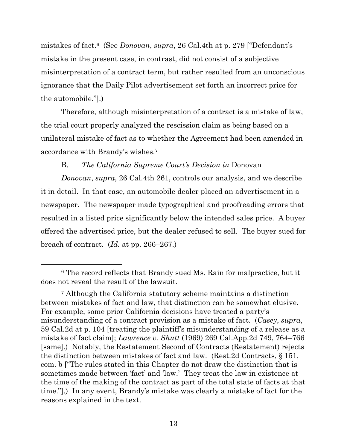mistakes of fact.6 (See *Donovan*, *supra*, 26 Cal.4th at p. 279 ["Defendant's mistake in the present case, in contrast, did not consist of a subjective misinterpretation of a contract term, but rather resulted from an unconscious ignorance that the Daily Pilot advertisement set forth an incorrect price for the automobile."].)

Therefore, although misinterpretation of a contract is a mistake of law, the trial court properly analyzed the rescission claim as being based on a unilateral mistake of fact as to whether the Agreement had been amended in accordance with Brandy's wishes.<sup>7</sup>

### B. *The California Supreme Court's Decision in* Donovan

*Donovan*, *supra*, 26 Cal.4th 261, controls our analysis, and we describe it in detail. In that case, an automobile dealer placed an advertisement in a newspaper. The newspaper made typographical and proofreading errors that resulted in a listed price significantly below the intended sales price. A buyer offered the advertised price, but the dealer refused to sell. The buyer sued for breach of contract. (*Id.* at pp. 266–267.)

<sup>6</sup> The record reflects that Brandy sued Ms. Rain for malpractice, but it does not reveal the result of the lawsuit.

<sup>7</sup> Although the California statutory scheme maintains a distinction between mistakes of fact and law, that distinction can be somewhat elusive. For example, some prior California decisions have treated a party's misunderstanding of a contract provision as a mistake of fact. (*Casey*, *supra*, 59 Cal.2d at p. 104 [treating the plaintiff's misunderstanding of a release as a mistake of fact claim]; *Lawrence v. Shutt* (1969) 269 Cal.App.2d 749, 764–766 [same].) Notably, the Restatement Second of Contracts (Restatement) rejects the distinction between mistakes of fact and law. (Rest.2d Contracts, § 151, com. b ["The rules stated in this Chapter do not draw the distinction that is sometimes made between 'fact' and 'law.' They treat the law in existence at the time of the making of the contract as part of the total state of facts at that time."].) In any event, Brandy's mistake was clearly a mistake of fact for the reasons explained in the text.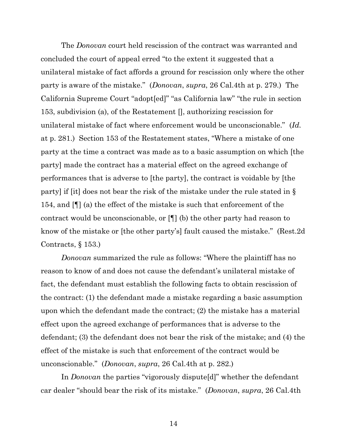The *Donovan* court held rescission of the contract was warranted and concluded the court of appeal erred "to the extent it suggested that a unilateral mistake of fact affords a ground for rescission only where the other party is aware of the mistake." (*Donovan*, *supra*, 26 Cal.4th at p. 279.) The California Supreme Court "adopt[ed]" "as California law" "the rule in section 153, subdivision (a), of the Restatement [], authorizing rescission for unilateral mistake of fact where enforcement would be unconscionable." (*Id.* at p. 281.) Section 153 of the Restatement states, "Where a mistake of one party at the time a contract was made as to a basic assumption on which [the party] made the contract has a material effect on the agreed exchange of performances that is adverse to [the party], the contract is voidable by [the party] if [it] does not bear the risk of the mistake under the rule stated in § 154, and [¶] (a) the effect of the mistake is such that enforcement of the contract would be unconscionable, or [¶] (b) the other party had reason to know of the mistake or [the other party's] fault caused the mistake." (Rest.2d Contracts, § 153.)

*Donovan* summarized the rule as follows: "Where the plaintiff has no reason to know of and does not cause the defendant's unilateral mistake of fact, the defendant must establish the following facts to obtain rescission of the contract: (1) the defendant made a mistake regarding a basic assumption upon which the defendant made the contract; (2) the mistake has a material effect upon the agreed exchange of performances that is adverse to the defendant; (3) the defendant does not bear the risk of the mistake; and (4) the effect of the mistake is such that enforcement of the contract would be unconscionable." (*Donovan*, *supra*, 26 Cal.4th at p. 282.)

In *Donovan* the parties "vigorously dispute[d]" whether the defendant car dealer "should bear the risk of its mistake." (*Donovan*, *supra*, 26 Cal.4th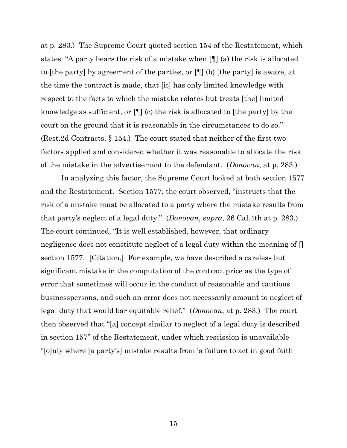at p. 283.) The Supreme Court quoted section 154 of the Restatement, which states: "A party bears the risk of a mistake when [¶] (a) the risk is allocated to [the party] by agreement of the parties, or [¶] (b) [the party] is aware, at the time the contract is made, that [it] has only limited knowledge with respect to the facts to which the mistake relates but treats [the] limited knowledge as sufficient, or [¶] (c) the risk is allocated to [the party] by the court on the ground that it is reasonable in the circumstances to do so." (Rest.2d Contracts, § 154.) The court stated that neither of the first two factors applied and considered whether it was reasonable to allocate the risk of the mistake in the advertisement to the defendant. (*Donovan*, at p. 283.)

In analyzing this factor, the Supreme Court looked at both section 1577 and the Restatement. Section 1577, the court observed, "instructs that the risk of a mistake must be allocated to a party where the mistake results from that party's neglect of a legal duty." (*Donovan*, *supra*, 26 Cal.4th at p. 283.) The court continued, "It is well established, however, that ordinary negligence does not constitute neglect of a legal duty within the meaning of [] section 1577. [Citation.] For example, we have described a careless but significant mistake in the computation of the contract price as the type of error that sometimes will occur in the conduct of reasonable and cautious businesspersons, and such an error does not necessarily amount to neglect of legal duty that would bar equitable relief." (*Donovan*, at p. 283.) The court then observed that "[a] concept similar to neglect of a legal duty is described in section 157" of the Restatement, under which rescission is unavailable "[o]nly where [a party's] mistake results from 'a failure to act in good faith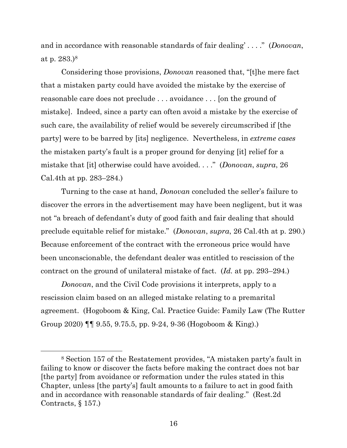and in accordance with reasonable standards of fair dealing' . . . ." (*Donovan*, at p. 283.)<sup>8</sup>

Considering those provisions, *Donovan* reasoned that, "[t]he mere fact that a mistaken party could have avoided the mistake by the exercise of reasonable care does not preclude . . . avoidance . . . [on the ground of mistake]. Indeed, since a party can often avoid a mistake by the exercise of such care, the availability of relief would be severely circumscribed if [the party] were to be barred by [its] negligence. Nevertheless, in *extreme cases* the mistaken party's fault is a proper ground for denying [it] relief for a mistake that [it] otherwise could have avoided. . . ." (*Donovan*, *supra*, 26 Cal.4th at pp. 283–284.)

Turning to the case at hand, *Donovan* concluded the seller's failure to discover the errors in the advertisement may have been negligent, but it was not "a breach of defendant's duty of good faith and fair dealing that should preclude equitable relief for mistake." (*Donovan*, *supra*, 26 Cal.4th at p. 290.) Because enforcement of the contract with the erroneous price would have been unconscionable, the defendant dealer was entitled to rescission of the contract on the ground of unilateral mistake of fact. (*Id.* at pp. 293–294.)

*Donovan*, and the Civil Code provisions it interprets, apply to a rescission claim based on an alleged mistake relating to a premarital agreement. (Hogoboom & King, Cal. Practice Guide: Family Law (The Rutter Group 2020) ¶¶ 9.55, 9.75.5, pp. 9-24, 9-36 (Hogoboom & King).)

<sup>8</sup> Section 157 of the Restatement provides, "A mistaken party's fault in failing to know or discover the facts before making the contract does not bar [the party] from avoidance or reformation under the rules stated in this Chapter, unless [the party's] fault amounts to a failure to act in good faith and in accordance with reasonable standards of fair dealing." (Rest.2d Contracts, § 157.)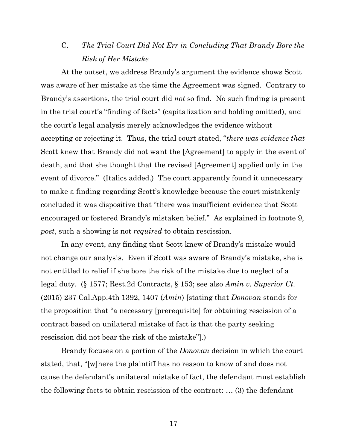## C. *The Trial Court Did Not Err in Concluding That Brandy Bore the Risk of Her Mistake*

At the outset, we address Brandy's argument the evidence shows Scott was aware of her mistake at the time the Agreement was signed. Contrary to Brandy's assertions, the trial court did *not* so find. No such finding is present in the trial court's "finding of facts" (capitalization and bolding omitted), and the court's legal analysis merely acknowledges the evidence without accepting or rejecting it. Thus, the trial court stated, "*there was evidence that* Scott knew that Brandy did not want the [Agreement] to apply in the event of death, and that she thought that the revised [Agreement] applied only in the event of divorce." (Italics added.) The court apparently found it unnecessary to make a finding regarding Scott's knowledge because the court mistakenly concluded it was dispositive that "there was insufficient evidence that Scott encouraged or fostered Brandy's mistaken belief." As explained in footnote 9, *post*, such a showing is not *required* to obtain rescission.

In any event, any finding that Scott knew of Brandy's mistake would not change our analysis. Even if Scott was aware of Brandy's mistake, she is not entitled to relief if she bore the risk of the mistake due to neglect of a legal duty. (§ 1577; Rest.2d Contracts, § 153; see also *Amin v. Superior Ct.*  (2015) 237 Cal.App.4th 1392, 1407 (*Amin*) [stating that *Donovan* stands for the proposition that "a necessary [prerequisite] for obtaining rescission of a contract based on unilateral mistake of fact is that the party seeking rescission did not bear the risk of the mistake"].)

Brandy focuses on a portion of the *Donovan* decision in which the court stated, that, "[w]here the plaintiff has no reason to know of and does not cause the defendant's unilateral mistake of fact, the defendant must establish the following facts to obtain rescission of the contract: … (3) the defendant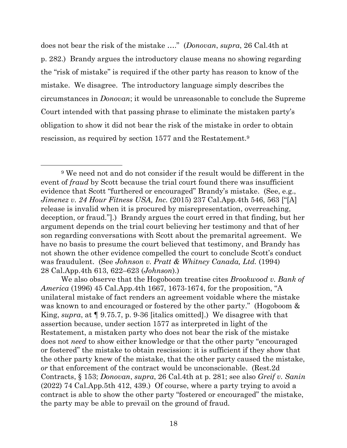does not bear the risk of the mistake …." (*Donovan*, *supra*, 26 Cal.4th at p. 282.) Brandy argues the introductory clause means no showing regarding the "risk of mistake" is required if the other party has reason to know of the mistake. We disagree. The introductory language simply describes the circumstances in *Donovan*; it would be unreasonable to conclude the Supreme Court intended with that passing phrase to eliminate the mistaken party's obligation to show it did not bear the risk of the mistake in order to obtain rescission, as required by section 1577 and the Restatement. 9

<sup>9</sup> We need not and do not consider if the result would be different in the event of *fraud* by Scott because the trial court found there was insufficient evidence that Scott "furthered or encouraged" Brandy's mistake. (See, e.g., *Jimenez v. 24 Hour Fitness USA, Inc.* (2015) 237 Cal.App.4th 546, 563 ["[A] release is invalid when it is procured by misrepresentation, overreaching, deception, or fraud."].) Brandy argues the court erred in that finding, but her argument depends on the trial court believing her testimony and that of her son regarding conversations with Scott about the premarital agreement. We have no basis to presume the court believed that testimony, and Brandy has not shown the other evidence compelled the court to conclude Scott's conduct was fraudulent. (See *Johnson v. Pratt & Whitney Canada, Ltd.* (1994) 28 Cal.App.4th 613, 622–623 (*Johnson*).)

We also observe that the Hogoboom treatise cites *Brookwood v. Bank of America* (1996) 45 Cal.App.4th 1667, 1673-1674, for the proposition, "A unilateral mistake of fact renders an agreement voidable where the mistake was known to and encouraged or fostered by the other party." (Hogoboom & King, *supra*, at ¶ 9.75.7, p. 9-36 [italics omitted].) We disagree with that assertion because, under section 1577 as interpreted in light of the Restatement, a mistaken party who does not bear the risk of the mistake does not *need* to show either knowledge or that the other party "encouraged or fostered" the mistake to obtain rescission: it is sufficient if they show that the other party knew of the mistake, that the other party caused the mistake, *or* that enforcement of the contract would be unconscionable. (Rest.2d Contracts, § 153; *Donovan*, *supra*, 26 Cal.4th at p. 281; see also *Greif v. Sanin* (2022) 74 Cal.App.5th 412, 439.) Of course, where a party trying to avoid a contract is able to show the other party "fostered or encouraged" the mistake, the party may be able to prevail on the ground of fraud.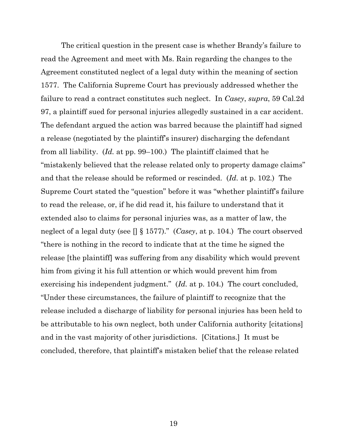The critical question in the present case is whether Brandy's failure to read the Agreement and meet with Ms. Rain regarding the changes to the Agreement constituted neglect of a legal duty within the meaning of section 1577. The California Supreme Court has previously addressed whether the failure to read a contract constitutes such neglect. In *Casey*, *supra*, 59 Cal.2d 97, a plaintiff sued for personal injuries allegedly sustained in a car accident. The defendant argued the action was barred because the plaintiff had signed a release (negotiated by the plaintiff's insurer) discharging the defendant from all liability. (*Id.* at pp. 99–100.) The plaintiff claimed that he "mistakenly believed that the release related only to property damage claims" and that the release should be reformed or rescinded. (*Id.* at p. 102.) The Supreme Court stated the "question" before it was "whether plaintiff's failure to read the release, or, if he did read it, his failure to understand that it extended also to claims for personal injuries was, as a matter of law, the neglect of a legal duty (see [] § 1577)." (*Casey*, at p. 104.) The court observed "there is nothing in the record to indicate that at the time he signed the release [the plaintiff] was suffering from any disability which would prevent him from giving it his full attention or which would prevent him from exercising his independent judgment." (*Id.* at p. 104.) The court concluded, "Under these circumstances, the failure of plaintiff to recognize that the release included a discharge of liability for personal injuries has been held to be attributable to his own neglect, both under California authority [citations] and in the vast majority of other jurisdictions. [Citations.] It must be concluded, therefore, that plaintiff's mistaken belief that the release related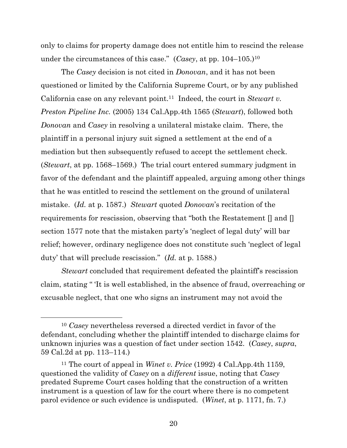only to claims for property damage does not entitle him to rescind the release under the circumstances of this case." (*Casey*, at pp. 104–105.)<sup>10</sup>

The *Casey* decision is not cited in *Donovan*, and it has not been questioned or limited by the California Supreme Court, or by any published California case on any relevant point. <sup>11</sup> Indeed, the court in *Stewart v. Preston Pipeline Inc.* (2005) 134 Cal.App.4th 1565 (*Stewart*), followed both *Donovan* and *Casey* in resolving a unilateral mistake claim. There, the plaintiff in a personal injury suit signed a settlement at the end of a mediation but then subsequently refused to accept the settlement check. (*Stewart*, at pp. 1568–1569.) The trial court entered summary judgment in favor of the defendant and the plaintiff appealed, arguing among other things that he was entitled to rescind the settlement on the ground of unilateral mistake. (*Id.* at p. 1587.) *Stewart* quoted *Donovan*'s recitation of the requirements for rescission, observing that "both the Restatement [] and [] section 1577 note that the mistaken party's 'neglect of legal duty' will bar relief; however, ordinary negligence does not constitute such 'neglect of legal duty' that will preclude rescission." (*Id.* at p. 1588.)

*Stewart* concluded that requirement defeated the plaintiff's rescission claim, stating " 'It is well established, in the absence of fraud, overreaching or excusable neglect, that one who signs an instrument may not avoid the

<sup>10</sup> *Casey* nevertheless reversed a directed verdict in favor of the defendant, concluding whether the plaintiff intended to discharge claims for unknown injuries was a question of fact under section 1542. (*Casey*, *supra*, 59 Cal.2d at pp. 113–114.)

<sup>11</sup> The court of appeal in *Winet v. Price* (1992) 4 Cal.App.4th 1159, questioned the validity of *Casey* on a *different* issue, noting that *Casey* predated Supreme Court cases holding that the construction of a written instrument is a question of law for the court where there is no competent parol evidence or such evidence is undisputed. (*Winet*, at p. 1171, fn. 7.)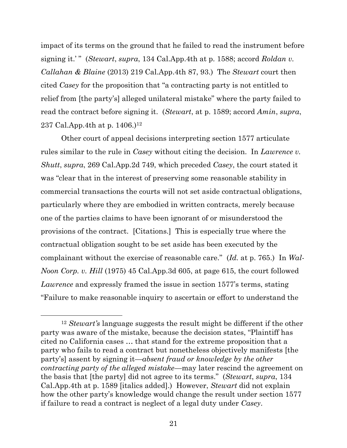impact of its terms on the ground that he failed to read the instrument before signing it.' " (*Stewart*, *supra*, 134 Cal.App.4th at p. 1588; accord *Roldan v. Callahan & Blaine* (2013) 219 Cal.App.4th 87, 93.) The *Stewart* court then cited *Casey* for the proposition that "a contracting party is not entitled to relief from [the party's] alleged unilateral mistake" where the party failed to read the contract before signing it. (*Stewart*, at p. 1589; accord *Amin*, *supra*, 237 Cal.App.4th at p. 1406.)<sup>12</sup>

Other court of appeal decisions interpreting section 1577 articulate rules similar to the rule in *Casey* without citing the decision. In *Lawrence v. Shutt*, *supra*, 269 Cal.App.2d 749, which preceded *Casey*, the court stated it was "clear that in the interest of preserving some reasonable stability in commercial transactions the courts will not set aside contractual obligations, particularly where they are embodied in written contracts, merely because one of the parties claims to have been ignorant of or misunderstood the provisions of the contract. [Citations.] This is especially true where the contractual obligation sought to be set aside has been executed by the complainant without the exercise of reasonable care." (*Id.* at p. 765.) In *Wal-Noon Corp. v. Hill* (1975) 45 Cal.App.3d 605, at page 615, the court followed *Lawrence* and expressly framed the issue in section 1577's terms, stating "Failure to make reasonable inquiry to ascertain or effort to understand the

<sup>12</sup> *Stewart's* language suggests the result might be different if the other party was aware of the mistake, because the decision states, "Plaintiff has cited no California cases … that stand for the extreme proposition that a party who fails to read a contract but nonetheless objectively manifests [the party's] assent by signing it—*absent fraud or knowledge by the other contracting party of the alleged mistake*—may later rescind the agreement on the basis that [the party] did not agree to its terms." (*Stewart*, *supra*, 134 Cal.App.4th at p. 1589 [italics added].) However, *Stewart* did not explain how the other party's knowledge would change the result under section 1577 if failure to read a contract is neglect of a legal duty under *Casey*.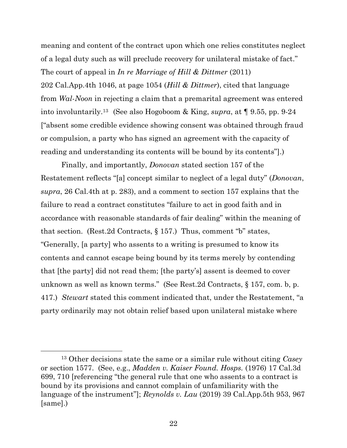meaning and content of the contract upon which one relies constitutes neglect of a legal duty such as will preclude recovery for unilateral mistake of fact." The court of appeal in *In re Marriage of Hill & Dittmer* (2011) 202 Cal.App.4th 1046, at page 1054 (*Hill & Dittmer*), cited that language from *Wal-Noon* in rejecting a claim that a premarital agreement was entered into involuntarily. <sup>13</sup> (See also Hogoboom & King, *supra*, at ¶ 9.55, pp. 9-24 ["absent some credible evidence showing consent was obtained through fraud or compulsion, a party who has signed an agreement with the capacity of reading and understanding its contents will be bound by its contents"].)

Finally, and importantly, *Donovan* stated section 157 of the Restatement reflects "[a] concept similar to neglect of a legal duty" (*Donovan*, *supra*, 26 Cal.4th at p. 283), and a comment to section 157 explains that the failure to read a contract constitutes "failure to act in good faith and in accordance with reasonable standards of fair dealing" within the meaning of that section. (Rest.2d Contracts, § 157.) Thus, comment "b" states, "Generally, [a party] who assents to a writing is presumed to know its contents and cannot escape being bound by its terms merely by contending that [the party] did not read them; [the party's] assent is deemed to cover unknown as well as known terms." (See Rest.2d Contracts, § 157, com. b, p. 417.) *Stewart* stated this comment indicated that, under the Restatement, "a party ordinarily may not obtain relief based upon unilateral mistake where

<sup>13</sup> Other decisions state the same or a similar rule without citing *Casey* or section 1577. (See, e.g., *Madden v. Kaiser Found. Hosps.* (1976) 17 Cal.3d 699, 710 [referencing "the general rule that one who assents to a contract is bound by its provisions and cannot complain of unfamiliarity with the language of the instrument"]; *Reynolds v. Lau* (2019) 39 Cal.App.5th 953, 967 [same].)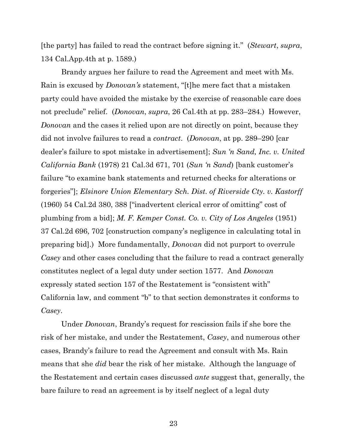[the party] has failed to read the contract before signing it." (*Stewart*, *supra*, 134 Cal.App.4th at p. 1589.)

Brandy argues her failure to read the Agreement and meet with Ms. Rain is excused by *Donovan's* statement, "[t]he mere fact that a mistaken party could have avoided the mistake by the exercise of reasonable care does not preclude" relief. (*Donovan*, *supra*, 26 Cal.4th at pp. 283–284.) However, *Donovan* and the cases it relied upon are not directly on point, because they did not involve failures to read a *contract*. (*Donovan*, at pp. 289–290 [car dealer's failure to spot mistake in advertisement]; *Sun 'n Sand, Inc. v. United California Bank* (1978) 21 Cal.3d 671, 701 (*Sun 'n Sand*) [bank customer's failure "to examine bank statements and returned checks for alterations or forgeries"]; *Elsinore Union Elementary Sch. Dist. of Riverside Cty. v. Kastorff* (1960) 54 Cal.2d 380, 388 ["inadvertent clerical error of omitting" cost of plumbing from a bid]; *M. F. Kemper Const. Co. v. City of Los Angeles* (1951) 37 Cal.2d 696, 702 [construction company's negligence in calculating total in preparing bid].) More fundamentally, *Donovan* did not purport to overrule *Casey* and other cases concluding that the failure to read a contract generally constitutes neglect of a legal duty under section 1577. And *Donovan* expressly stated section 157 of the Restatement is "consistent with" California law, and comment "b" to that section demonstrates it conforms to *Casey*.

Under *Donovan*, Brandy's request for rescission fails if she bore the risk of her mistake, and under the Restatement, *Casey*, and numerous other cases, Brandy's failure to read the Agreement and consult with Ms. Rain means that she *did* bear the risk of her mistake. Although the language of the Restatement and certain cases discussed *ante* suggest that, generally, the bare failure to read an agreement is by itself neglect of a legal duty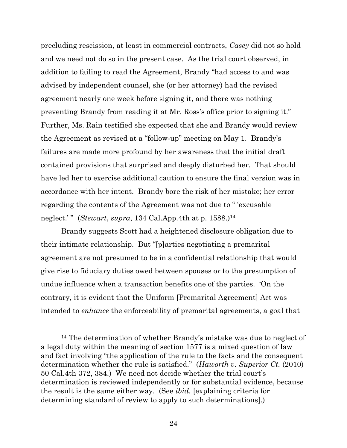precluding rescission, at least in commercial contracts, *Casey* did not so hold and we need not do so in the present case. As the trial court observed, in addition to failing to read the Agreement, Brandy "had access to and was advised by independent counsel, she (or her attorney) had the revised agreement nearly one week before signing it, and there was nothing preventing Brandy from reading it at Mr. Ross's office prior to signing it." Further, Ms. Rain testified she expected that she and Brandy would review the Agreement as revised at a "follow-up" meeting on May 1. Brandy's failures are made more profound by her awareness that the initial draft contained provisions that surprised and deeply disturbed her. That should have led her to exercise additional caution to ensure the final version was in accordance with her intent. Brandy bore the risk of her mistake; her error regarding the contents of the Agreement was not due to " 'excusable neglect.' " (*Stewart*, *supra*, 134 Cal.App.4th at p. 1588.)<sup>14</sup>

Brandy suggests Scott had a heightened disclosure obligation due to their intimate relationship. But "[p]arties negotiating a premarital agreement are not presumed to be in a confidential relationship that would give rise to fiduciary duties owed between spouses or to the presumption of undue influence when a transaction benefits one of the parties. 'On the contrary, it is evident that the Uniform [Premarital Agreement] Act was intended to *enhance* the enforceability of premarital agreements, a goal that

<sup>14</sup> The determination of whether Brandy's mistake was due to neglect of a legal duty within the meaning of section 1577 is a mixed question of law and fact involving "the application of the rule to the facts and the consequent determination whether the rule is satisfied." (*Haworth v. Superior Ct.* (2010) 50 Cal.4th 372, 384.) We need not decide whether the trial court's determination is reviewed independently or for substantial evidence, because the result is the same either way. (See *ibid.* [explaining criteria for determining standard of review to apply to such determinations].)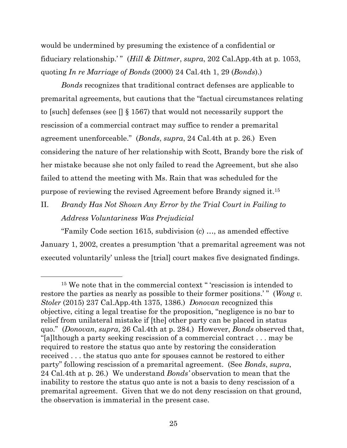would be undermined by presuming the existence of a confidential or fiduciary relationship.'" (*Hill & Dittmer*, *supra*, 202 Cal.App.4th at p. 1053, quoting *In re Marriage of Bonds* (2000) 24 Cal.4th 1, 29 (*Bonds*).)

*Bonds* recognizes that traditional contract defenses are applicable to premarital agreements, but cautions that the "factual circumstances relating to [such] defenses (see [] § 1567) that would not necessarily support the rescission of a commercial contract may suffice to render a premarital agreement unenforceable." (*Bonds*, *supra*, 24 Cal.4th at p. 26.) Even considering the nature of her relationship with Scott, Brandy bore the risk of her mistake because she not only failed to read the Agreement, but she also failed to attend the meeting with Ms. Rain that was scheduled for the purpose of reviewing the revised Agreement before Brandy signed it. 15

II. *Brandy Has Not Shown Any Error by the Trial Court in Failing to Address Voluntariness Was Prejudicial*

"Family Code section 1615, subdivision (c) …, as amended effective January 1, 2002, creates a presumption 'that a premarital agreement was not executed voluntarily' unless the [trial] court makes five designated findings.

<sup>&</sup>lt;sup>15</sup> We note that in the commercial context " 'rescission is intended to restore the parties as nearly as possible to their former positions.'" (*Wong v. Stoler* (2015) 237 Cal.App.4th 1375, 1386.) *Donovan* recognized this objective, citing a legal treatise for the proposition, "negligence is no bar to relief from unilateral mistake if [the] other party can be placed in status quo." (*Donovan*, *supra*, 26 Cal.4th at p. 284.) However, *Bonds* observed that, "[a]lthough a party seeking rescission of a commercial contract . . . may be required to restore the status quo ante by restoring the consideration received . . . the status quo ante for spouses cannot be restored to either party" following rescission of a premarital agreement. (See *Bonds*, *supra*, 24 Cal.4th at p. 26.) We understand *Bonds'* observation to mean that the inability to restore the status quo ante is not a basis to deny rescission of a premarital agreement. Given that we do not deny rescission on that ground, the observation is immaterial in the present case.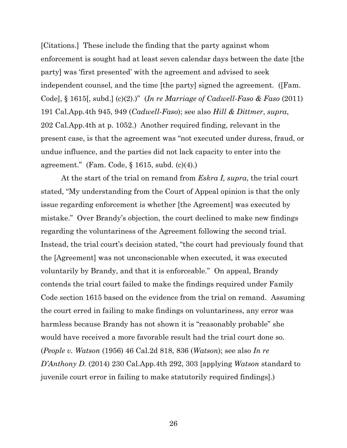[Citations.] These include the finding that the party against whom enforcement is sought had at least seven calendar days between the date [the party] was 'first presented' with the agreement and advised to seek independent counsel, and the time [the party] signed the agreement. ([Fam. Code], § 1615[, subd.] (c)(2).)" (*In re Marriage of Cadwell-Faso & Faso* (2011) 191 Cal.App.4th 945, 949 (*Cadwell-Faso*); see also *Hill & Dittmer*, *supra*, 202 Cal.App.4th at p. 1052.) Another required finding, relevant in the present case, is that the agreement was "not executed under duress, fraud, or undue influence, and the parties did not lack capacity to enter into the agreement." (Fam. Code, § 1615, subd. (c)(4).)

At the start of the trial on remand from *Eskra I, supra*, the trial court stated, "My understanding from the Court of Appeal opinion is that the only issue regarding enforcement is whether [the Agreement] was executed by mistake." Over Brandy's objection, the court declined to make new findings regarding the voluntariness of the Agreement following the second trial. Instead, the trial court's decision stated, "the court had previously found that the [Agreement] was not unconscionable when executed, it was executed voluntarily by Brandy, and that it is enforceable." On appeal, Brandy contends the trial court failed to make the findings required under Family Code section 1615 based on the evidence from the trial on remand. Assuming the court erred in failing to make findings on voluntariness, any error was harmless because Brandy has not shown it is "reasonably probable" she would have received a more favorable result had the trial court done so. (*People v. Watson* (1956) 46 Cal.2d 818, 836 (*Watson*); see also *In re D'Anthony D.* (2014) 230 Cal.App.4th 292, 303 [applying *Watson* standard to juvenile court error in failing to make statutorily required findings].)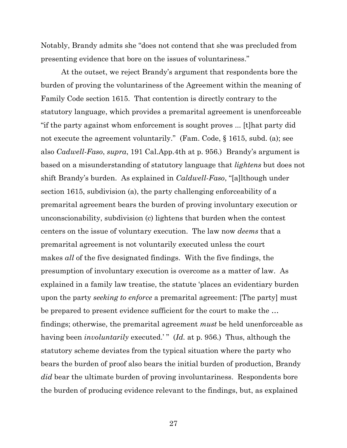Notably, Brandy admits she "does not contend that she was precluded from presenting evidence that bore on the issues of voluntariness."

At the outset, we reject Brandy's argument that respondents bore the burden of proving the voluntariness of the Agreement within the meaning of Family Code section 1615. That contention is directly contrary to the statutory language, which provides a premarital agreement is unenforceable "if the party against whom enforcement is sought proves ... [t]hat party did not execute the agreement voluntarily." (Fam. Code, § 1615, subd. (a); see also *Cadwell-Faso*, *supra*, 191 Cal.App.4th at p. 956.) Brandy's argument is based on a misunderstanding of statutory language that *lightens* but does not shift Brandy's burden. As explained in *Caldwell-Faso*, "[a]lthough under section 1615, subdivision (a), the party challenging enforceability of a premarital agreement bears the burden of proving involuntary execution or unconscionability, subdivision (c) lightens that burden when the contest centers on the issue of voluntary execution. The law now *deems* that a premarital agreement is not voluntarily executed unless the court makes *all* of the five designated findings. With the five findings, the presumption of involuntary execution is overcome as a matter of law. As explained in a family law treatise, the statute 'places an evidentiary burden upon the party *seeking to enforce* a premarital agreement: [The party] must be prepared to present evidence sufficient for the court to make the … findings; otherwise, the premarital agreement *must* be held unenforceable as having been *involuntarily* executed.'" (*Id.* at p. 956.) Thus, although the statutory scheme deviates from the typical situation where the party who bears the burden of proof also bears the initial burden of production, Brandy *did* bear the ultimate burden of proving involuntariness. Respondents bore the burden of producing evidence relevant to the findings, but, as explained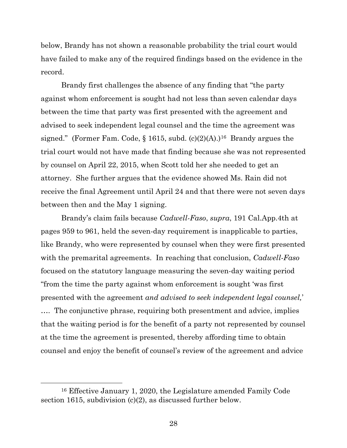below, Brandy has not shown a reasonable probability the trial court would have failed to make any of the required findings based on the evidence in the record.

Brandy first challenges the absence of any finding that "the party against whom enforcement is sought had not less than seven calendar days between the time that party was first presented with the agreement and advised to seek independent legal counsel and the time the agreement was signed." (Former Fam. Code,  $\S$  1615, subd. (c)(2)(A).)<sup>16</sup> Brandy argues the trial court would not have made that finding because she was not represented by counsel on April 22, 2015, when Scott told her she needed to get an attorney. She further argues that the evidence showed Ms. Rain did not receive the final Agreement until April 24 and that there were not seven days between then and the May 1 signing.

Brandy's claim fails because *Cadwell-Faso*, *supra*, 191 Cal.App.4th at pages 959 to 961, held the seven-day requirement is inapplicable to parties, like Brandy, who were represented by counsel when they were first presented with the premarital agreements. In reaching that conclusion, *Cadwell-Faso* focused on the statutory language measuring the seven-day waiting period "from the time the party against whom enforcement is sought 'was first presented with the agreement *and advised to seek independent legal counsel,*' …. The conjunctive phrase, requiring both presentment and advice, implies that the waiting period is for the benefit of a party not represented by counsel at the time the agreement is presented, thereby affording time to obtain counsel and enjoy the benefit of counsel's review of the agreement and advice

<sup>16</sup> Effective January 1, 2020, the Legislature amended Family Code section 1615, subdivision (c)(2), as discussed further below.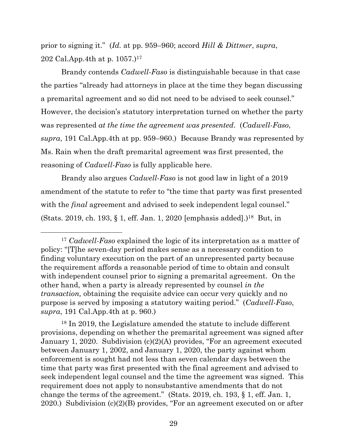prior to signing it." (*Id.* at pp. 959–960; accord *Hill & Dittmer*, *supra*, 202 Cal.App.4th at p. 1057.)<sup>17</sup>

Brandy contends *Cadwell-Faso* is distinguishable because in that case the parties "already had attorneys in place at the time they began discussing a premarital agreement and so did not need to be advised to seek counsel." However, the decision's statutory interpretation turned on whether the party was represented *at the time the agreement was presented*. (*Cadwell-Faso*, *supra*, 191 Cal.App.4th at pp. 959–960.) Because Brandy was represented by Ms. Rain when the draft premarital agreement was first presented, the reasoning of *Cadwell-Faso* is fully applicable here.

Brandy also argues *Cadwell-Faso* is not good law in light of a 2019 amendment of the statute to refer to "the time that party was first presented with the *final* agreement and advised to seek independent legal counsel." (Stats. 2019, ch. 193, § 1, eff. Jan. 1, 2020 [emphasis added].)<sup>18</sup> But, in

<sup>18</sup> In 2019, the Legislature amended the statute to include different provisions, depending on whether the premarital agreement was signed after January 1, 2020. Subdivision (c)(2)(A) provides, "For an agreement executed between January 1, 2002, and January 1, 2020, the party against whom enforcement is sought had not less than seven calendar days between the time that party was first presented with the final agreement and advised to seek independent legal counsel and the time the agreement was signed. This requirement does not apply to nonsubstantive amendments that do not change the terms of the agreement." (Stats. 2019, ch. 193, § 1, eff. Jan. 1, 2020.) Subdivision (c)(2)(B) provides, "For an agreement executed on or after

<sup>17</sup> *Cadwell-Faso* explained the logic of its interpretation as a matter of policy: "[T]he seven-day period makes sense as a necessary condition to finding voluntary execution on the part of an unrepresented party because the requirement affords a reasonable period of time to obtain and consult with independent counsel prior to signing a premarital agreement. On the other hand, when a party is already represented by counsel *in the transaction,* obtaining the requisite advice can occur very quickly and no purpose is served by imposing a statutory waiting period." (*Cadwell-Faso*, *supra*, 191 Cal.App.4th at p. 960.)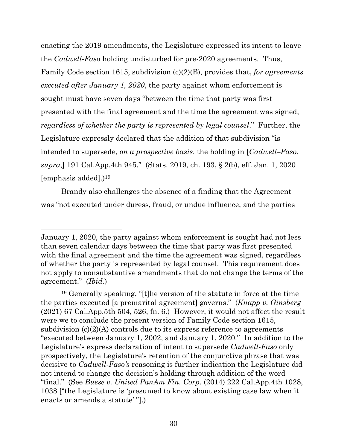enacting the 2019 amendments, the Legislature expressed its intent to leave the *Cadwell-Faso* holding undisturbed for pre-2020 agreements. Thus, Family Code section 1615, subdivision (c)(2)(B), provides that, *for agreements executed after January 1, 2020*, the party against whom enforcement is sought must have seven days "between the time that party was first presented with the final agreement and the time the agreement was signed, *regardless of whether the party is represented by legal counsel*." Further, the Legislature expressly declared that the addition of that subdivision "is intended to supersede, *on a prospective basis*, the holding in [*Cadwell–Faso*, *supra*,] 191 Cal.App.4th 945." (Stats. 2019, ch. 193, § 2(b), eff. Jan. 1, 2020 [emphasis added].)<sup>19</sup>

Brandy also challenges the absence of a finding that the Agreement was "not executed under duress, fraud, or undue influence, and the parties

January 1, 2020, the party against whom enforcement is sought had not less than seven calendar days between the time that party was first presented with the final agreement and the time the agreement was signed, regardless of whether the party is represented by legal counsel. This requirement does not apply to nonsubstantive amendments that do not change the terms of the agreement." (*Ibid.*)

<sup>19</sup> Generally speaking, "[t]he version of the statute in force at the time the parties executed [a premarital agreement] governs." (*Knapp v. Ginsberg* (2021) 67 Cal.App.5th 504, 526, fn. 6.) However, it would not affect the result were we to conclude the present version of Family Code section 1615, subdivision  $(c)(2)(A)$  controls due to its express reference to agreements "executed between January 1, 2002, and January 1, 2020." In addition to the Legislature's express declaration of intent to supersede *Cadwell-Faso* only prospectively, the Legislature's retention of the conjunctive phrase that was decisive to *Cadwell-Faso's* reasoning is further indication the Legislature did not intend to change the decision's holding through addition of the word "final." (See *Busse v. United PanAm Fin. Corp.* (2014) 222 Cal.App.4th 1028, 1038 ["the Legislature is 'presumed to know about existing case law when it enacts or amends a statute' "].)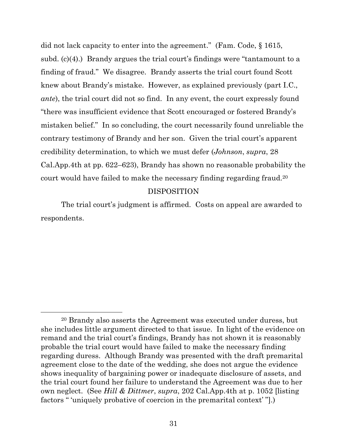did not lack capacity to enter into the agreement." (Fam. Code, § 1615, subd. (c)(4).) Brandy argues the trial court's findings were "tantamount to a finding of fraud." We disagree. Brandy asserts the trial court found Scott knew about Brandy's mistake. However, as explained previously (part I.C., *ante*), the trial court did not so find. In any event, the court expressly found "there was insufficient evidence that Scott encouraged or fostered Brandy's mistaken belief." In so concluding, the court necessarily found unreliable the contrary testimony of Brandy and her son. Given the trial court's apparent credibility determination, to which we must defer (*Johnson*, *supra*, 28 Cal.App.4th at pp. 622–623), Brandy has shown no reasonable probability the court would have failed to make the necessary finding regarding fraud.<sup>20</sup>

#### DISPOSITION

The trial court's judgment is affirmed. Costs on appeal are awarded to respondents.

<sup>20</sup> Brandy also asserts the Agreement was executed under duress, but she includes little argument directed to that issue. In light of the evidence on remand and the trial court's findings, Brandy has not shown it is reasonably probable the trial court would have failed to make the necessary finding regarding duress. Although Brandy was presented with the draft premarital agreement close to the date of the wedding, she does not argue the evidence shows inequality of bargaining power or inadequate disclosure of assets, and the trial court found her failure to understand the Agreement was due to her own neglect. (See *Hill & Dittmer*, *supra*, 202 Cal.App.4th at p. 1052 [listing factors " 'uniquely probative of coercion in the premarital context' "].)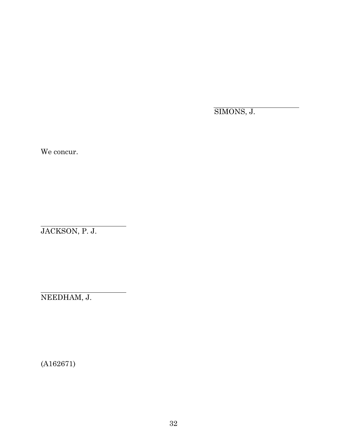SIMONS, J.

We concur.

JACKSON, P. J.

NEEDHAM, J.

(A162671)